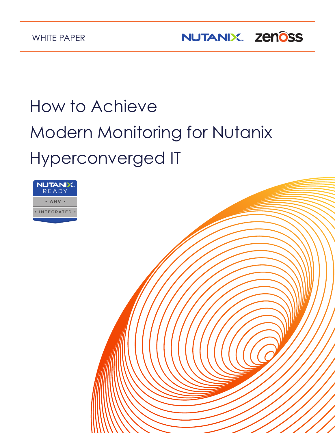NUTANIX. Zenôss

# How to Achieve Modern Monitoring for Nutanix Hyperconverged IT

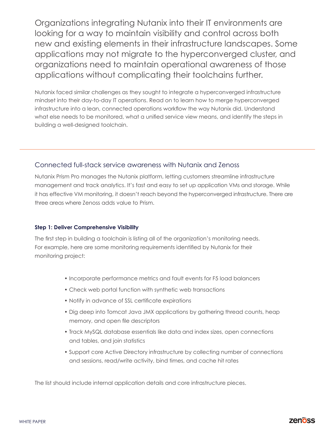Organizations integrating Nutanix into their IT environments are looking for a way to maintain visibility and control across both new and existing elements in their infrastructure landscapes. Some applications may not migrate to the hyperconverged cluster, and organizations need to maintain operational awareness of those applications without complicating their toolchains further.

Nutanix faced similar challenges as they sought to integrate a hyperconverged infrastructure mindset into their day-to-day IT operations. Read on to learn how to merge hyperconverged infrastructure into a lean, connected operations workflow the way Nutanix did. Understand what else needs to be monitored, what a unified service view means, and identify the steps in building a well-designed toolchain.

## Connected full-stack service awareness with Nutanix and Zenoss

Nutanix Prism Pro manages the Nutanix platform, letting customers streamline infrastructure management and track analytics. It's fast and easy to set up application VMs and storage. While it has effective VM monitoring, it doesn't reach beyond the hyperconverged infrastructure. There are three areas where Zenoss adds value to Prism.

### **Step 1: Deliver Comprehensive Visibility**

The first step in building a toolchain is listing all of the organization's monitoring needs. For example, here are some monitoring requirements identified by Nutanix for their monitoring project:

- Incorporate performance metrics and fault events for F5 load balancers
- Check web portal function with synthetic web transactions
- Notify in advance of SSL certificate expirations
- Dig deep into Tomcat Java JMX applications by gathering thread counts, heap memory, and open file descriptors
- Track MySQL database essentials like data and index sizes, open connections and tables, and join statistics
- Support core Active Directory infrastructure by collecting number of connections and sessions, read/write activity, bind times, and cache hit rates

The list should include internal application details and core infrastructure pieces.

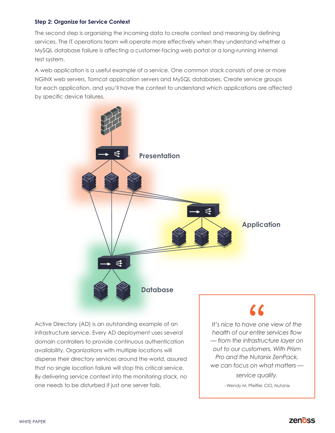#### **Step 2: Organize for Service Context**

The second step is organizing the incoming data to create context and meaning by defining services. The IT operations team will operate more effectively when they understand whether a MySQL database failure is affecting a customer-facing web portal or a long-running internal test system.

A web application is a useful example of a service. One common stack consists of one or more NGINX web servers, Tomcat application servers and MySQL databases. Create service groups for each application, and you'll have the context to understand which applications are affected by specific device failures.



Active Directory (AD) is an outstanding example of an infrastructure service. Every AD deployment uses several domain controllers to provide continuous authentication availability. Organizations with multiple locations will disperse their directory services around the world, assured that no single location failure will stop this critical service. By delivering service context into the monitoring stack, no one needs to be disturbed if just one server fails.

*It's nice to have one view of the health of our entire services flow — from the infrastructure layer on out to our customers. With Prism Pro and the Nutanix ZenPack, we can focus on what matters service quality.*

- Wendy M. Pfeiffer, CIO, Nutanix

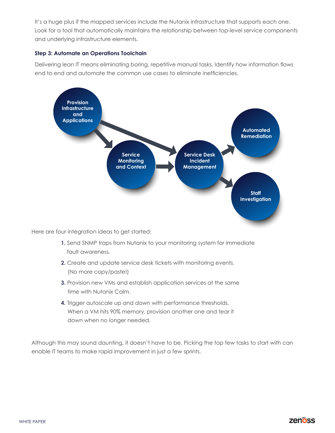It's a huge plus if the mapped services include the Nutanix infrastructure that supports each one. Look for a tool that automatically maintains the relationship between top-level service components and underlying infrastructure elements.

### **Step 3: Automate an Operations Toolchain**

Delivering lean IT means eliminating boring, repetitive manual tasks. Identify how information flows end to end and automate the common use cases to eliminate inefficiencies.



Here are four integration ideas to get started:

- **1.** Send SNMP traps from Nutanix to your monitoring system for immediate fault awareness.
- **2.** Create and update service desk tickets with monitoring events. (No more copy/paste!)
- **3.** Provision new VMs and establish application services at the same time with Nutanix Calm.
- **4.** Trigger autoscale up and down with performance thresholds. When a VM hits 90% memory, provision another one and tear it down when no longer needed.

Although this may sound daunting, it doesn't have to be. Picking the top few tasks to start with can enable IT teams to make rapid improvement in just a few sprints.

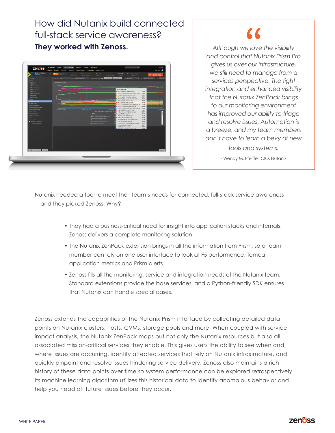# How did Nutanix build connected full-stack service awareness? **They worked with Zenoss.** *Although we love the visibility*



# LL

*and control that Nutanix Prism Pro gives us over our infrastructure, we still need to manage from a services perspective. The tight integration and enhanced visibility that the Nutanix ZenPack brings to our monitoring environment has improved our ability to triage and resolve issues. Automation is a breeze, and my team members don't have to learn a bevy of new tools and systems.*

- Wendy M. Pfeiffer, CIO, Nutanix

Nutanix needed a tool to meet their team's needs for connected, full-stack service awareness – and they picked Zenoss. Why?

- They had a business-critical need for insight into application stacks and internals. Zenoss delivers a complete monitoring solution.
- The Nutanix ZenPack extension brings in all the information from Prism, so a team member can rely on one user interface to look at F5 performance, Tomcat application metrics and Prism alerts.
- Zenoss fills all the monitoring, service and integration needs of the Nutanix team. Standard extensions provide the base services, and a Python-friendly SDK ensures that Nutanix can handle special cases.

Zenoss extends the capabilities of the Nutanix Prism interface by collecting detailed data points on Nutanix clusters, hosts, CVMs, storage pools and more. When coupled with service impact analysis, the Nutanix ZenPack maps out not only the Nutanix resources but also all associated mission-critical services they enable. This gives users the ability to see when and where issues are occurring, identify affected services that rely on Nutanix infrastructure, and quickly pinpoint and resolve issues hindering service delivery. Zenoss also maintains a rich history of these data points over time so system performance can be explored retrospectively. Its machine learning algorithm utilizes this historical data to identify anomalous behavior and help you head off future issues before they occur.